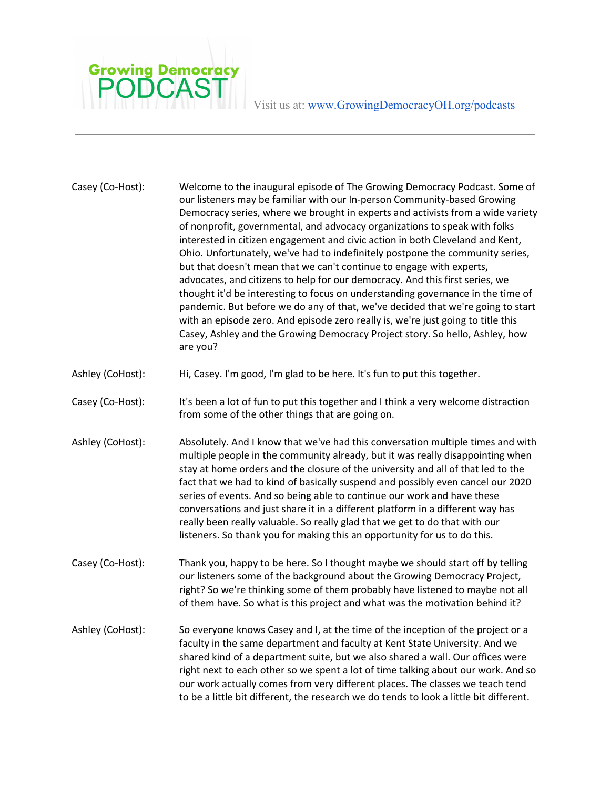

Visit us at: [www.GrowingDemocracyOH.org/podcasts](http://www.growingdemocracyoh.org/podcasts)

| Casey (Co-Host): | Welcome to the inaugural episode of The Growing Democracy Podcast. Some of<br>our listeners may be familiar with our In-person Community-based Growing<br>Democracy series, where we brought in experts and activists from a wide variety<br>of nonprofit, governmental, and advocacy organizations to speak with folks<br>interested in citizen engagement and civic action in both Cleveland and Kent,<br>Ohio. Unfortunately, we've had to indefinitely postpone the community series,<br>but that doesn't mean that we can't continue to engage with experts,<br>advocates, and citizens to help for our democracy. And this first series, we<br>thought it'd be interesting to focus on understanding governance in the time of<br>pandemic. But before we do any of that, we've decided that we're going to start<br>with an episode zero. And episode zero really is, we're just going to title this<br>Casey, Ashley and the Growing Democracy Project story. So hello, Ashley, how<br>are you? |
|------------------|---------------------------------------------------------------------------------------------------------------------------------------------------------------------------------------------------------------------------------------------------------------------------------------------------------------------------------------------------------------------------------------------------------------------------------------------------------------------------------------------------------------------------------------------------------------------------------------------------------------------------------------------------------------------------------------------------------------------------------------------------------------------------------------------------------------------------------------------------------------------------------------------------------------------------------------------------------------------------------------------------------|
| Ashley (CoHost): | Hi, Casey. I'm good, I'm glad to be here. It's fun to put this together.                                                                                                                                                                                                                                                                                                                                                                                                                                                                                                                                                                                                                                                                                                                                                                                                                                                                                                                                |
| Casey (Co-Host): | It's been a lot of fun to put this together and I think a very welcome distraction<br>from some of the other things that are going on.                                                                                                                                                                                                                                                                                                                                                                                                                                                                                                                                                                                                                                                                                                                                                                                                                                                                  |
| Ashley (CoHost): | Absolutely. And I know that we've had this conversation multiple times and with<br>multiple people in the community already, but it was really disappointing when<br>stay at home orders and the closure of the university and all of that led to the<br>fact that we had to kind of basically suspend and possibly even cancel our 2020<br>series of events. And so being able to continue our work and have these<br>conversations and just share it in a different platform in a different way has<br>really been really valuable. So really glad that we get to do that with our<br>listeners. So thank you for making this an opportunity for us to do this.                                                                                                                                                                                                                                                                                                                                       |
| Casey (Co-Host): | Thank you, happy to be here. So I thought maybe we should start off by telling<br>our listeners some of the background about the Growing Democracy Project,<br>right? So we're thinking some of them probably have listened to maybe not all<br>of them have. So what is this project and what was the motivation behind it?                                                                                                                                                                                                                                                                                                                                                                                                                                                                                                                                                                                                                                                                            |
| Ashley (CoHost): | So everyone knows Casey and I, at the time of the inception of the project or a<br>faculty in the same department and faculty at Kent State University. And we<br>shared kind of a department suite, but we also shared a wall. Our offices were<br>right next to each other so we spent a lot of time talking about our work. And so<br>our work actually comes from very different places. The classes we teach tend<br>to be a little bit different, the research we do tends to look a little bit different.                                                                                                                                                                                                                                                                                                                                                                                                                                                                                        |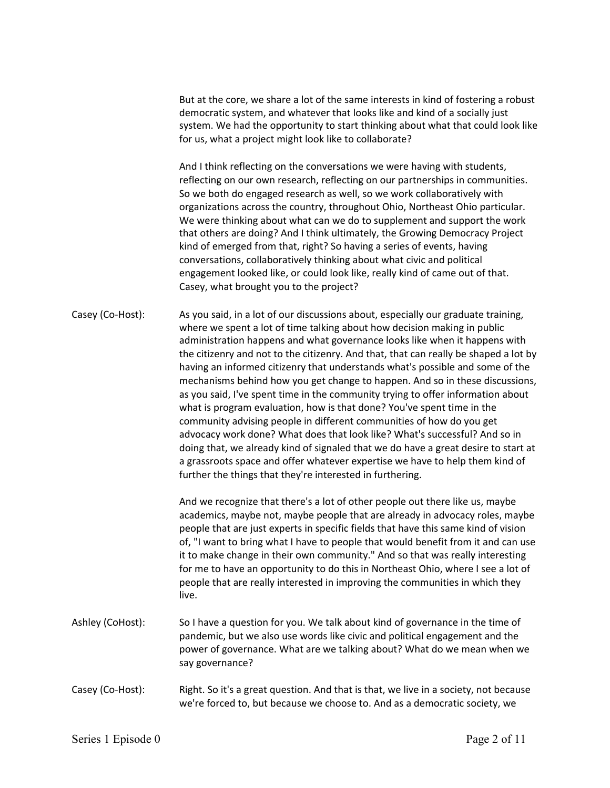But at the core, we share a lot of the same interests in kind of fostering a robust democratic system, and whatever that looks like and kind of a socially just system. We had the opportunity to start thinking about what that could look like for us, what a project might look like to collaborate?

And I think reflecting on the conversations we were having with students, reflecting on our own research, reflecting on our partnerships in communities. So we both do engaged research as well, so we work collaboratively with organizations across the country, throughout Ohio, Northeast Ohio particular. We were thinking about what can we do to supplement and support the work that others are doing? And I think ultimately, the Growing Democracy Project kind of emerged from that, right? So having a series of events, having conversations, collaboratively thinking about what civic and political engagement looked like, or could look like, really kind of came out of that. Casey, what brought you to the project?

Casey (Co-Host): As you said, in a lot of our discussions about, especially our graduate training, where we spent a lot of time talking about how decision making in public administration happens and what governance looks like when it happens with the citizenry and not to the citizenry. And that, that can really be shaped a lot by having an informed citizenry that understands what's possible and some of the mechanisms behind how you get change to happen. And so in these discussions, as you said, I've spent time in the community trying to offer information about what is program evaluation, how is that done? You've spent time in the community advising people in different communities of how do you get advocacy work done? What does that look like? What's successful? And so in doing that, we already kind of signaled that we do have a great desire to start at a grassroots space and offer whatever expertise we have to help them kind of further the things that they're interested in furthering.

> And we recognize that there's a lot of other people out there like us, maybe academics, maybe not, maybe people that are already in advocacy roles, maybe people that are just experts in specific fields that have this same kind of vision of, "I want to bring what I have to people that would benefit from it and can use it to make change in their own community." And so that was really interesting for me to have an opportunity to do this in Northeast Ohio, where I see a lot of people that are really interested in improving the communities in which they live.

- Ashley (CoHost): So I have a question for you. We talk about kind of governance in the time of pandemic, but we also use words like civic and political engagement and the power of governance. What are we talking about? What do we mean when we say governance?
- Casey (Co-Host): Right. So it's a great question. And that is that, we live in a society, not because we're forced to, but because we choose to. And as a democratic society, we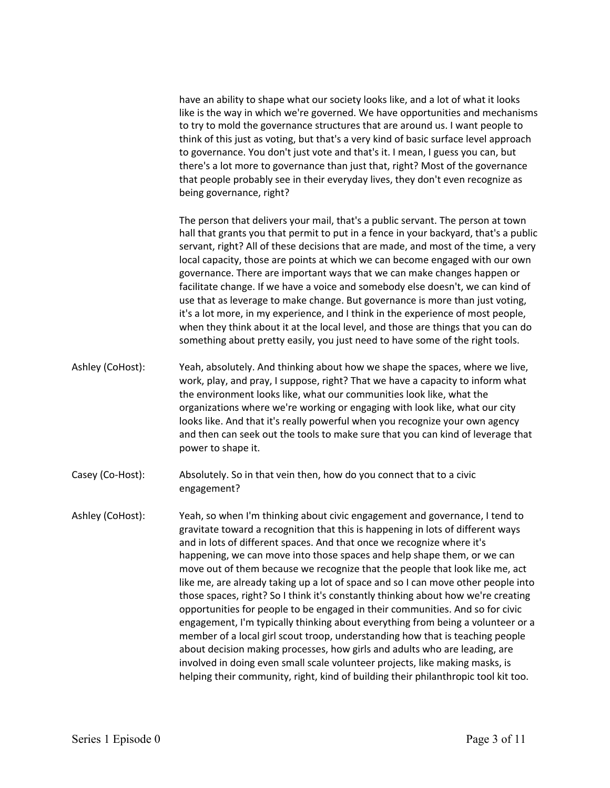have an ability to shape what our society looks like, and a lot of what it looks like is the way in which we're governed. We have opportunities and mechanisms to try to mold the governance structures that are around us. I want people to think of this just as voting, but that's a very kind of basic surface level approach to governance. You don't just vote and that's it. I mean, I guess you can, but there's a lot more to governance than just that, right? Most of the governance that people probably see in their everyday lives, they don't even recognize as being governance, right?

The person that delivers your mail, that's a public servant. The person at town hall that grants you that permit to put in a fence in your backyard, that's a public servant, right? All of these decisions that are made, and most of the time, a very local capacity, those are points at which we can become engaged with our own governance. There are important ways that we can make changes happen or facilitate change. If we have a voice and somebody else doesn't, we can kind of use that as leverage to make change. But governance is more than just voting, it's a lot more, in my experience, and I think in the experience of most people, when they think about it at the local level, and those are things that you can do something about pretty easily, you just need to have some of the right tools.

- Ashley (CoHost): Yeah, absolutely. And thinking about how we shape the spaces, where we live, work, play, and pray, I suppose, right? That we have a capacity to inform what the environment looks like, what our communities look like, what the organizations where we're working or engaging with look like, what our city looks like. And that it's really powerful when you recognize your own agency and then can seek out the tools to make sure that you can kind of leverage that power to shape it.
- Casey (Co-Host): Absolutely. So in that vein then, how do you connect that to a civic engagement?
- Ashley (CoHost): Yeah, so when I'm thinking about civic engagement and governance, I tend to gravitate toward a recognition that this is happening in lots of different ways and in lots of different spaces. And that once we recognize where it's happening, we can move into those spaces and help shape them, or we can move out of them because we recognize that the people that look like me, act like me, are already taking up a lot of space and so I can move other people into those spaces, right? So I think it's constantly thinking about how we're creating opportunities for people to be engaged in their communities. And so for civic engagement, I'm typically thinking about everything from being a volunteer or a member of a local girl scout troop, understanding how that is teaching people about decision making processes, how girls and adults who are leading, are involved in doing even small scale volunteer projects, like making masks, is helping their community, right, kind of building their philanthropic tool kit too.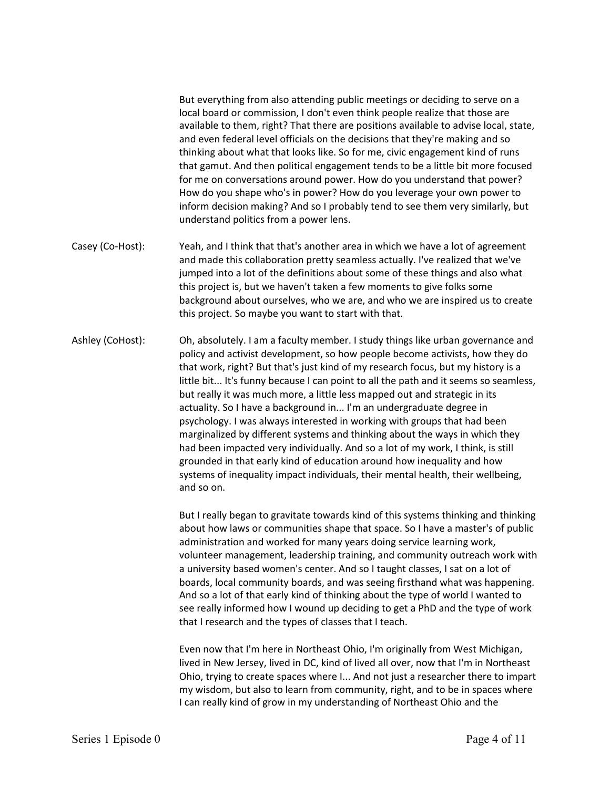But everything from also attending public meetings or deciding to serve on a local board or commission, I don't even think people realize that those are available to them, right? That there are positions available to advise local, state, and even federal level officials on the decisions that they're making and so thinking about what that looks like. So for me, civic engagement kind of runs that gamut. And then political engagement tends to be a little bit more focused for me on conversations around power. How do you understand that power? How do you shape who's in power? How do you leverage your own power to inform decision making? And so I probably tend to see them very similarly, but understand politics from a power lens.

Casey (Co-Host): Yeah, and I think that that's another area in which we have a lot of agreement and made this collaboration pretty seamless actually. I've realized that we've jumped into a lot of the definitions about some of these things and also what this project is, but we haven't taken a few moments to give folks some background about ourselves, who we are, and who we are inspired us to create this project. So maybe you want to start with that.

Ashley (CoHost): Oh, absolutely. I am a faculty member. I study things like urban governance and policy and activist development, so how people become activists, how they do that work, right? But that's just kind of my research focus, but my history is a little bit... It's funny because I can point to all the path and it seems so seamless, but really it was much more, a little less mapped out and strategic in its actuality. So I have a background in... I'm an undergraduate degree in psychology. I was always interested in working with groups that had been marginalized by different systems and thinking about the ways in which they had been impacted very individually. And so a lot of my work, I think, is still grounded in that early kind of education around how inequality and how systems of inequality impact individuals, their mental health, their wellbeing, and so on.

> But I really began to gravitate towards kind of this systems thinking and thinking about how laws or communities shape that space. So I have a master's of public administration and worked for many years doing service learning work, volunteer management, leadership training, and community outreach work with a university based women's center. And so I taught classes, I sat on a lot of boards, local community boards, and was seeing firsthand what was happening. And so a lot of that early kind of thinking about the type of world I wanted to see really informed how I wound up deciding to get a PhD and the type of work that I research and the types of classes that I teach.

> Even now that I'm here in Northeast Ohio, I'm originally from West Michigan, lived in New Jersey, lived in DC, kind of lived all over, now that I'm in Northeast Ohio, trying to create spaces where I... And not just a researcher there to impart my wisdom, but also to learn from community, right, and to be in spaces where I can really kind of grow in my understanding of Northeast Ohio and the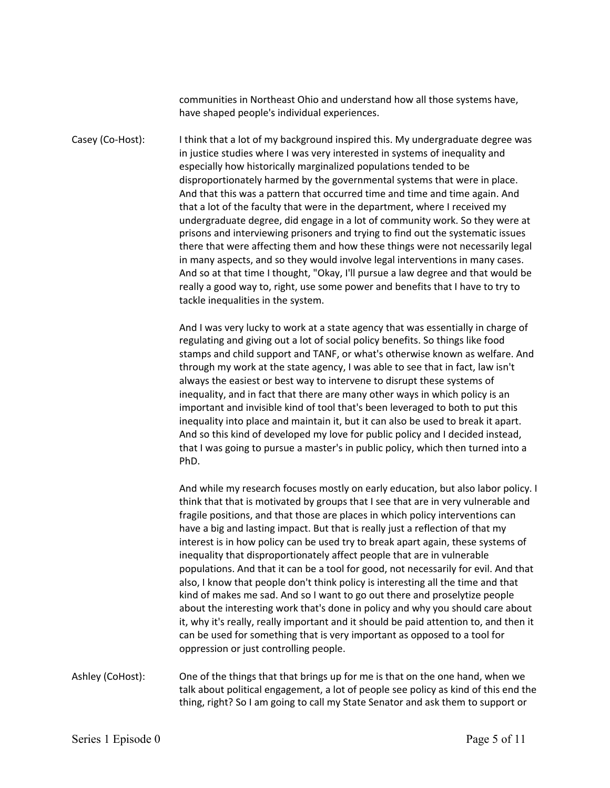communities in Northeast Ohio and understand how all those systems have, have shaped people's individual experiences.

Casey (Co-Host): I think that a lot of my background inspired this. My undergraduate degree was in justice studies where I was very interested in systems of inequality and especially how historically marginalized populations tended to be disproportionately harmed by the governmental systems that were in place. And that this was a pattern that occurred time and time and time again. And that a lot of the faculty that were in the department, where I received my undergraduate degree, did engage in a lot of community work. So they were at prisons and interviewing prisoners and trying to find out the systematic issues there that were affecting them and how these things were not necessarily legal in many aspects, and so they would involve legal interventions in many cases. And so at that time I thought, "Okay, I'll pursue a law degree and that would be really a good way to, right, use some power and benefits that I have to try to tackle inequalities in the system.

> And I was very lucky to work at a state agency that was essentially in charge of regulating and giving out a lot of social policy benefits. So things like food stamps and child support and TANF, or what's otherwise known as welfare. And through my work at the state agency, I was able to see that in fact, law isn't always the easiest or best way to intervene to disrupt these systems of inequality, and in fact that there are many other ways in which policy is an important and invisible kind of tool that's been leveraged to both to put this inequality into place and maintain it, but it can also be used to break it apart. And so this kind of developed my love for public policy and I decided instead, that I was going to pursue a master's in public policy, which then turned into a PhD.

And while my research focuses mostly on early education, but also labor policy. I think that that is motivated by groups that I see that are in very vulnerable and fragile positions, and that those are places in which policy interventions can have a big and lasting impact. But that is really just a reflection of that my interest is in how policy can be used try to break apart again, these systems of inequality that disproportionately affect people that are in vulnerable populations. And that it can be a tool for good, not necessarily for evil. And that also, I know that people don't think policy is interesting all the time and that kind of makes me sad. And so I want to go out there and proselytize people about the interesting work that's done in policy and why you should care about it, why it's really, really important and it should be paid attention to, and then it can be used for something that is very important as opposed to a tool for oppression or just controlling people.

Ashley (CoHost): One of the things that that brings up for me is that on the one hand, when we talk about political engagement, a lot of people see policy as kind of this end the thing, right? So I am going to call my State Senator and ask them to support or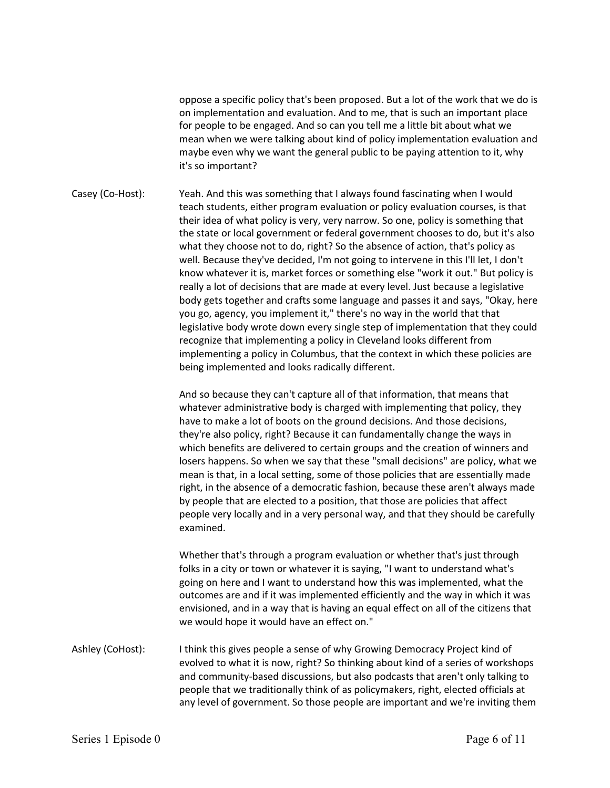oppose a specific policy that's been proposed. But a lot of the work that we do is on implementation and evaluation. And to me, that is such an important place for people to be engaged. And so can you tell me a little bit about what we mean when we were talking about kind of policy implementation evaluation and maybe even why we want the general public to be paying attention to it, why it's so important?

Casey (Co-Host): Yeah. And this was something that I always found fascinating when I would teach students, either program evaluation or policy evaluation courses, is that their idea of what policy is very, very narrow. So one, policy is something that the state or local government or federal government chooses to do, but it's also what they choose not to do, right? So the absence of action, that's policy as well. Because they've decided, I'm not going to intervene in this I'll let, I don't know whatever it is, market forces or something else "work it out." But policy is really a lot of decisions that are made at every level. Just because a legislative body gets together and crafts some language and passes it and says, "Okay, here you go, agency, you implement it," there's no way in the world that that legislative body wrote down every single step of implementation that they could recognize that implementing a policy in Cleveland looks different from implementing a policy in Columbus, that the context in which these policies are being implemented and looks radically different.

> And so because they can't capture all of that information, that means that whatever administrative body is charged with implementing that policy, they have to make a lot of boots on the ground decisions. And those decisions, they're also policy, right? Because it can fundamentally change the ways in which benefits are delivered to certain groups and the creation of winners and losers happens. So when we say that these "small decisions" are policy, what we mean is that, in a local setting, some of those policies that are essentially made right, in the absence of a democratic fashion, because these aren't always made by people that are elected to a position, that those are policies that affect people very locally and in a very personal way, and that they should be carefully examined.

Whether that's through a program evaluation or whether that's just through folks in a city or town or whatever it is saying, "I want to understand what's going on here and I want to understand how this was implemented, what the outcomes are and if it was implemented efficiently and the way in which it was envisioned, and in a way that is having an equal effect on all of the citizens that we would hope it would have an effect on."

Ashley (CoHost): I think this gives people a sense of why Growing Democracy Project kind of evolved to what it is now, right? So thinking about kind of a series of workshops and community-based discussions, but also podcasts that aren't only talking to people that we traditionally think of as policymakers, right, elected officials at any level of government. So those people are important and we're inviting them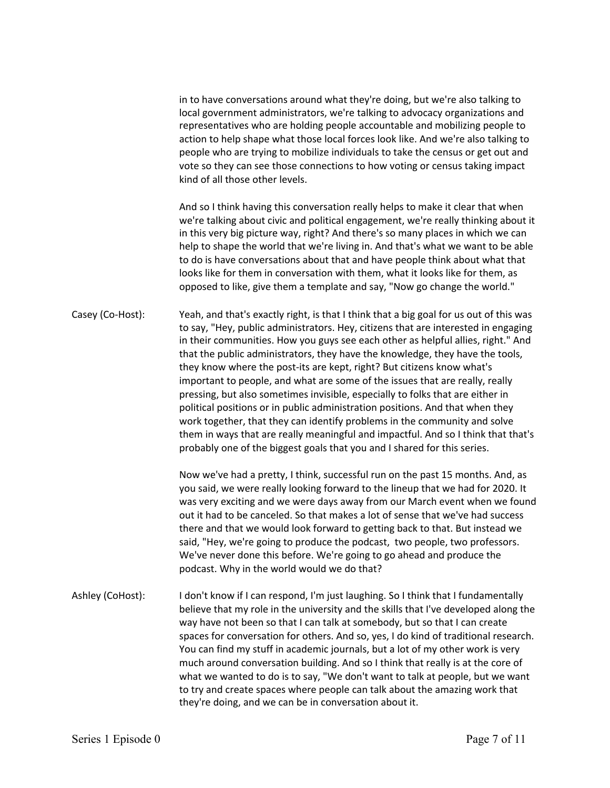in to have conversations around what they're doing, but we're also talking to local government administrators, we're talking to advocacy organizations and representatives who are holding people accountable and mobilizing people to action to help shape what those local forces look like. And we're also talking to people who are trying to mobilize individuals to take the census or get out and vote so they can see those connections to how voting or census taking impact kind of all those other levels.

And so I think having this conversation really helps to make it clear that when we're talking about civic and political engagement, we're really thinking about it in this very big picture way, right? And there's so many places in which we can help to shape the world that we're living in. And that's what we want to be able to do is have conversations about that and have people think about what that looks like for them in conversation with them, what it looks like for them, as opposed to like, give them a template and say, "Now go change the world."

Casey (Co-Host): Yeah, and that's exactly right, is that I think that a big goal for us out of this was to say, "Hey, public administrators. Hey, citizens that are interested in engaging in their communities. How you guys see each other as helpful allies, right." And that the public administrators, they have the knowledge, they have the tools, they know where the post-its are kept, right? But citizens know what's important to people, and what are some of the issues that are really, really pressing, but also sometimes invisible, especially to folks that are either in political positions or in public administration positions. And that when they work together, that they can identify problems in the community and solve them in ways that are really meaningful and impactful. And so I think that that's probably one of the biggest goals that you and I shared for this series.

> Now we've had a pretty, I think, successful run on the past 15 months. And, as you said, we were really looking forward to the lineup that we had for 2020. It was very exciting and we were days away from our March event when we found out it had to be canceled. So that makes a lot of sense that we've had success there and that we would look forward to getting back to that. But instead we said, "Hey, we're going to produce the podcast, two people, two professors. We've never done this before. We're going to go ahead and produce the podcast. Why in the world would we do that?

Ashley (CoHost): I don't know if I can respond, I'm just laughing. So I think that I fundamentally believe that my role in the university and the skills that I've developed along the way have not been so that I can talk at somebody, but so that I can create spaces for conversation for others. And so, yes, I do kind of traditional research. You can find my stuff in academic journals, but a lot of my other work is very much around conversation building. And so I think that really is at the core of what we wanted to do is to say, "We don't want to talk at people, but we want to try and create spaces where people can talk about the amazing work that they're doing, and we can be in conversation about it.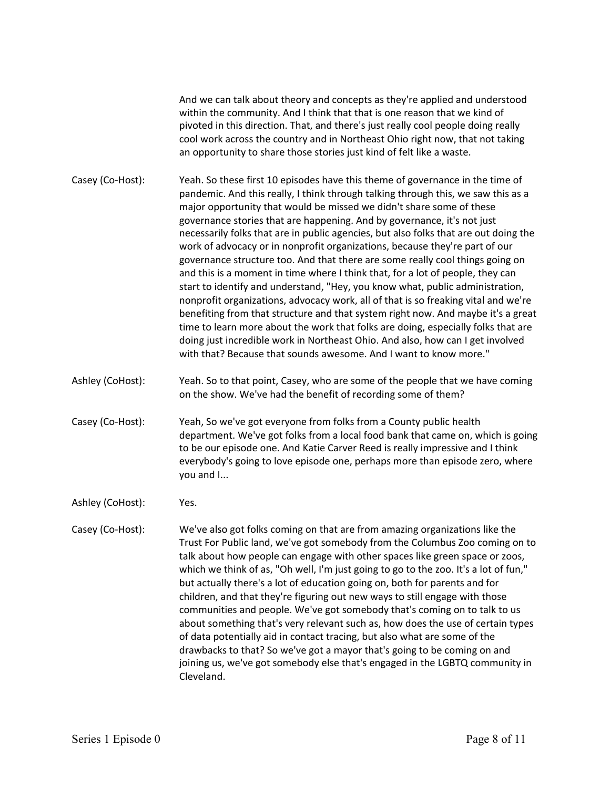And we can talk about theory and concepts as they're applied and understood within the community. And I think that that is one reason that we kind of pivoted in this direction. That, and there's just really cool people doing really cool work across the country and in Northeast Ohio right now, that not taking an opportunity to share those stories just kind of felt like a waste.

- Casey (Co-Host): Yeah. So these first 10 episodes have this theme of governance in the time of pandemic. And this really, I think through talking through this, we saw this as a major opportunity that would be missed we didn't share some of these governance stories that are happening. And by governance, it's not just necessarily folks that are in public agencies, but also folks that are out doing the work of advocacy or in nonprofit organizations, because they're part of our governance structure too. And that there are some really cool things going on and this is a moment in time where I think that, for a lot of people, they can start to identify and understand, "Hey, you know what, public administration, nonprofit organizations, advocacy work, all of that is so freaking vital and we're benefiting from that structure and that system right now. And maybe it's a great time to learn more about the work that folks are doing, especially folks that are doing just incredible work in Northeast Ohio. And also, how can I get involved with that? Because that sounds awesome. And I want to know more."
- Ashley (CoHost): Yeah. So to that point, Casey, who are some of the people that we have coming on the show. We've had the benefit of recording some of them?
- Casey (Co-Host): Yeah, So we've got everyone from folks from a County public health department. We've got folks from a local food bank that came on, which is going to be our episode one. And Katie Carver Reed is really impressive and I think everybody's going to love episode one, perhaps more than episode zero, where you and I...
- Ashley (CoHost): Yes.
- Casey (Co-Host): We've also got folks coming on that are from amazing organizations like the Trust For Public land, we've got somebody from the Columbus Zoo coming on to talk about how people can engage with other spaces like green space or zoos, which we think of as, "Oh well, I'm just going to go to the zoo. It's a lot of fun," but actually there's a lot of education going on, both for parents and for children, and that they're figuring out new ways to still engage with those communities and people. We've got somebody that's coming on to talk to us about something that's very relevant such as, how does the use of certain types of data potentially aid in contact tracing, but also what are some of the drawbacks to that? So we've got a mayor that's going to be coming on and joining us, we've got somebody else that's engaged in the LGBTQ community in Cleveland.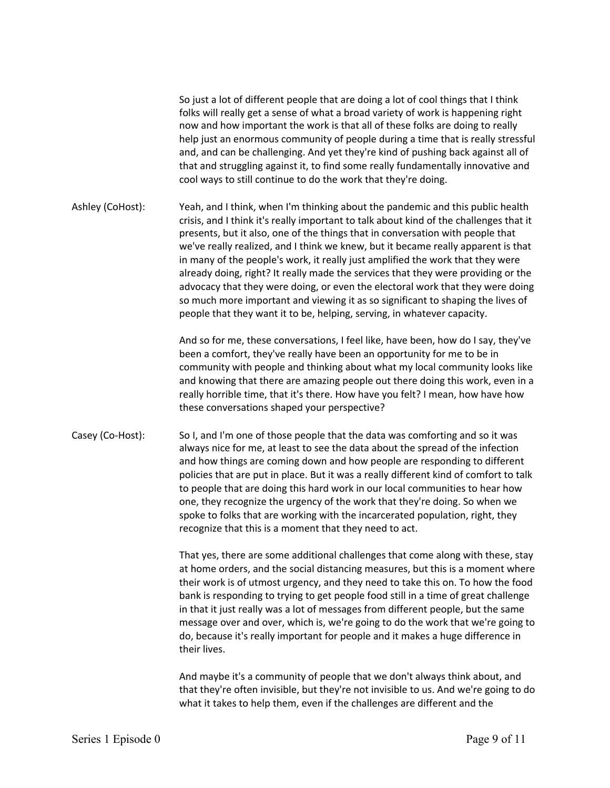So just a lot of different people that are doing a lot of cool things that I think folks will really get a sense of what a broad variety of work is happening right now and how important the work is that all of these folks are doing to really help just an enormous community of people during a time that is really stressful and, and can be challenging. And yet they're kind of pushing back against all of that and struggling against it, to find some really fundamentally innovative and cool ways to still continue to do the work that they're doing.

Ashley (CoHost): Yeah, and I think, when I'm thinking about the pandemic and this public health crisis, and I think it's really important to talk about kind of the challenges that it presents, but it also, one of the things that in conversation with people that we've really realized, and I think we knew, but it became really apparent is that in many of the people's work, it really just amplified the work that they were already doing, right? It really made the services that they were providing or the advocacy that they were doing, or even the electoral work that they were doing so much more important and viewing it as so significant to shaping the lives of people that they want it to be, helping, serving, in whatever capacity.

> And so for me, these conversations, I feel like, have been, how do I say, they've been a comfort, they've really have been an opportunity for me to be in community with people and thinking about what my local community looks like and knowing that there are amazing people out there doing this work, even in a really horrible time, that it's there. How have you felt? I mean, how have how these conversations shaped your perspective?

Casey (Co-Host): So I, and I'm one of those people that the data was comforting and so it was always nice for me, at least to see the data about the spread of the infection and how things are coming down and how people are responding to different policies that are put in place. But it was a really different kind of comfort to talk to people that are doing this hard work in our local communities to hear how one, they recognize the urgency of the work that they're doing. So when we spoke to folks that are working with the incarcerated population, right, they recognize that this is a moment that they need to act.

> That yes, there are some additional challenges that come along with these, stay at home orders, and the social distancing measures, but this is a moment where their work is of utmost urgency, and they need to take this on. To how the food bank is responding to trying to get people food still in a time of great challenge in that it just really was a lot of messages from different people, but the same message over and over, which is, we're going to do the work that we're going to do, because it's really important for people and it makes a huge difference in their lives.

> And maybe it's a community of people that we don't always think about, and that they're often invisible, but they're not invisible to us. And we're going to do what it takes to help them, even if the challenges are different and the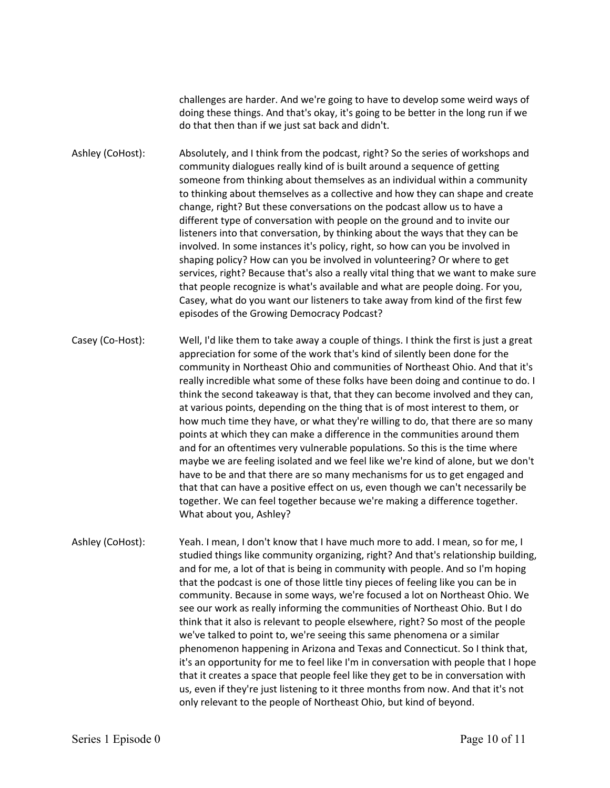challenges are harder. And we're going to have to develop some weird ways of doing these things. And that's okay, it's going to be better in the long run if we do that then than if we just sat back and didn't.

Ashley (CoHost): Absolutely, and I think from the podcast, right? So the series of workshops and community dialogues really kind of is built around a sequence of getting someone from thinking about themselves as an individual within a community to thinking about themselves as a collective and how they can shape and create change, right? But these conversations on the podcast allow us to have a different type of conversation with people on the ground and to invite our listeners into that conversation, by thinking about the ways that they can be involved. In some instances it's policy, right, so how can you be involved in shaping policy? How can you be involved in volunteering? Or where to get services, right? Because that's also a really vital thing that we want to make sure that people recognize is what's available and what are people doing. For you, Casey, what do you want our listeners to take away from kind of the first few episodes of the Growing Democracy Podcast?

Casey (Co-Host): Well, I'd like them to take away a couple of things. I think the first is just a great appreciation for some of the work that's kind of silently been done for the community in Northeast Ohio and communities of Northeast Ohio. And that it's really incredible what some of these folks have been doing and continue to do. I think the second takeaway is that, that they can become involved and they can, at various points, depending on the thing that is of most interest to them, or how much time they have, or what they're willing to do, that there are so many points at which they can make a difference in the communities around them and for an oftentimes very vulnerable populations. So this is the time where maybe we are feeling isolated and we feel like we're kind of alone, but we don't have to be and that there are so many mechanisms for us to get engaged and that that can have a positive effect on us, even though we can't necessarily be together. We can feel together because we're making a difference together. What about you, Ashley?

Ashley (CoHost): Yeah. I mean, I don't know that I have much more to add. I mean, so for me, I studied things like community organizing, right? And that's relationship building, and for me, a lot of that is being in community with people. And so I'm hoping that the podcast is one of those little tiny pieces of feeling like you can be in community. Because in some ways, we're focused a lot on Northeast Ohio. We see our work as really informing the communities of Northeast Ohio. But I do think that it also is relevant to people elsewhere, right? So most of the people we've talked to point to, we're seeing this same phenomena or a similar phenomenon happening in Arizona and Texas and Connecticut. So I think that, it's an opportunity for me to feel like I'm in conversation with people that I hope that it creates a space that people feel like they get to be in conversation with us, even if they're just listening to it three months from now. And that it's not only relevant to the people of Northeast Ohio, but kind of beyond.